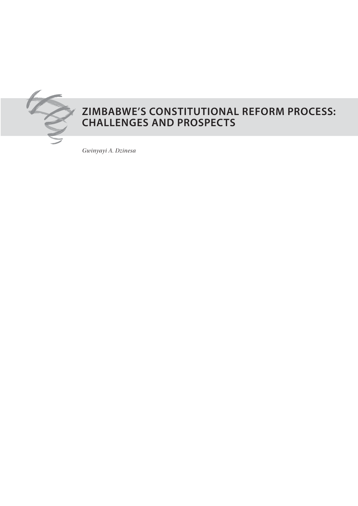

# **Zimbabwe's CONSTITUTIONAL REFORM PROCESS: CHALLENGES AND PROSPECTS**

*Gwinyayi A. Dzinesa*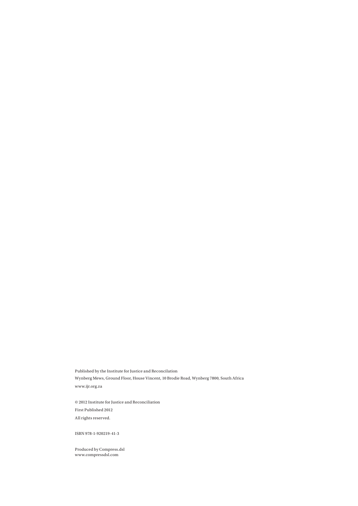Published by the Institute for Justice and Reconcilation Wynberg Mews, Ground Floor, House Vincent, 10 Brodie Road, Wynberg 7800, South Africa www.ijr.org.za

 $\odot$  2012 Institute for Justice and Reconciliation First Published 2012 All rights reserved.

ISBN 978-1-920219-41-3

Produced by Compress.dsl www.compressdsl.com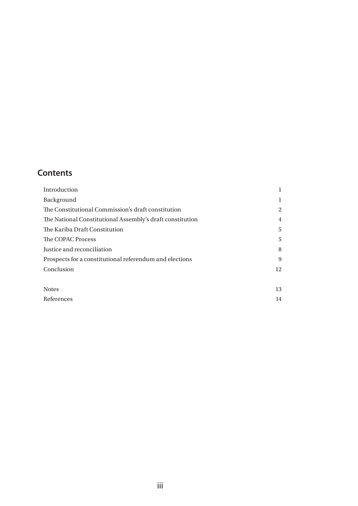# **Contents**

| Introduction                                              | 1  |
|-----------------------------------------------------------|----|
| <b>Background</b>                                         | 1  |
| The Constitutional Commission's draft constitution        | 2  |
| The National Constitutional Assembly's draft constitution | 4  |
| The Kariba Draft Constitution                             | 5  |
| The COPAC Process                                         | 5  |
| Justice and reconciliation                                | 8  |
| Prospects for a constitutional referendum and elections   | 9  |
| Conclusion                                                | 12 |
|                                                           |    |
| <b>Notes</b>                                              | 13 |

| References | IΔ |
|------------|----|
|------------|----|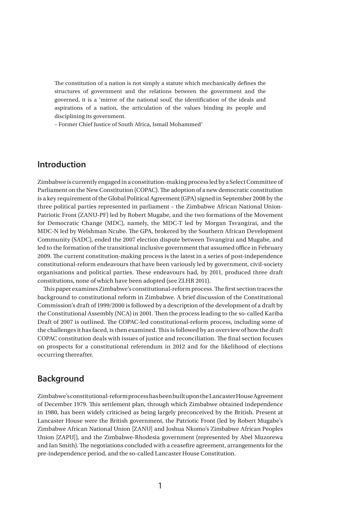The constitution of a nation is not simply a statute which mechanically defines the structures of government and the relations between the government and the governed, it is a 'mirror of the national soul', the identification of the ideals and aspirations of a nation, the articulation of the values binding its people and disciplining its government.

– Former Chief Justice of South Africa, Ismail Mohammed1

### **Introduction**

Zimbabwe is currently engaged in a constitution-making process led by a Select Committee of Parliament on the New Constitution (COPAC). The adoption of a new democratic constitution is a key requirement of the Global Political Agreement (GPA) signed in September 2008 by the three political parties represented in parliament – the Zimbabwe African National Union-Patriotic Front (ZANU-PF) led by Robert Mugabe, and the two formations of the Movement for Democratic Change (MDC), namely, the MDC-T led by Morgan Tsvangirai, and the MDC-N led by Welshman Ncube. The GPA, brokered by the Southern African Development Community (SADC), ended the 2007 election dispute between Tsvangirai and Mugabe, and led to the formation of the transitional inclusive government that assumed office in February 2009. The current constitution-making process is the latest in a series of post-independence constitutional-reform endeavours that have been variously led by government, civil-society organisations and political parties. These endeavours had, by 2011, produced three draft constitutions, none of which have been adopted (see ZLHR 2011).

This paper examines Zimbabwe's constitutional-reform process. The first section traces the background to constitutional reform in Zimbabwe. A brief discussion of the Constitutional Commission's draft of 1999/2000 is followed by a description of the development of a draft by the Constitutional Assembly (NCA) in 2001. Then the process leading to the so-called Kariba Draft of 2007 is outlined. The COPAC-led constitutional-reform process, including some of the challenges it has faced, is then examined. This is followed by an overview of how the draft COPAC constitution deals with issues of justice and reconciliation. The final section focuses on prospects for a constitutional referendum in 2012 and for the likelihood of elections occurring thereafter.

### **Background**

Zimbabwe's constitutional-reform process has been built upon the Lancaster House Agreement of December 1979. This settlement plan, through which Zimbabwe obtained independence in 1980, has been widely criticised as being largely preconceived by the British. Present at Lancaster House were the British government, the Patriotic Front (led by Robert Mugabe's Zimbabwe African National Union [ZANU] and Joshua Nkomo's Zimbabwe African Peoples Union [ZAPU]), and the Zimbabwe-Rhodesia government (represented by Abel Muzorewa and Ian Smith). The negotiations concluded with a ceasefire agreement, arrangements for the pre-independence period, and the so-called Lancaster House Constitution.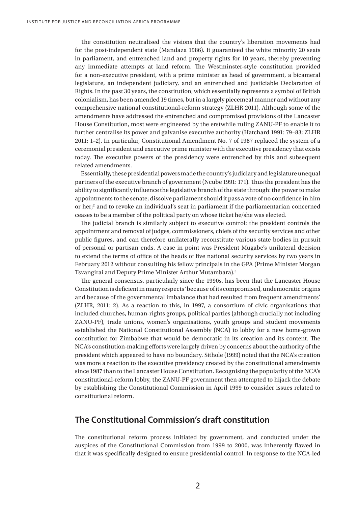The constitution neutralised the visions that the country's liberation movements had for the post-independent state (Mandaza 1986). It guaranteed the white minority 20 seats in parliament, and entrenched land and property rights for 10 years, thereby preventing any immediate attempts at land reform. The Westminster-style constitution provided for a non-executive president, with a prime minister as head of government, a bicameral legislature, an independent judiciary, and an entrenched and justiciable Declaration of Rights. In the past 30 years, the constitution, which essentially represents a symbol of British colonialism, has been amended 19 times, but in a largely piecemeal manner and without any comprehensive national constitutional-reform strategy (ZLHR 2011). Although some of the amendments have addressed the entrenched and compromised provisions of the Lancaster House Constitution, most were engineered by the erstwhile ruling ZANU-PF to enable it to further centralise its power and galvanise executive authority (Hatchard 1991: 79–83; ZLHR 2011: 1–2). In particular, Constitutional Amendment No. 7 of 1987 replaced the system of a ceremonial president and executive prime minister with the executive presidency that exists today. The executive powers of the presidency were entrenched by this and subsequent related amendments.

Essentially, these presidential powers made the country's judiciary and legislature unequal partners of the executive branch of government (Ncube 1991: 171). Thus the president has the ability to significantly influence the legislative branch of the state through: the power to make appointments to the senate; dissolve parliament should it pass a vote of no confidence in him or her;<sup>2</sup> and to revoke an individual's seat in parliament if the parliamentarian concerned ceases to be a member of the political party on whose ticket he/she was elected.

The judicial branch is similarly subject to executive control: the president controls the appointment and removal of judges, commissioners, chiefs of the security services and other public figures, and can therefore unilaterally reconstitute various state bodies in pursuit of personal or partisan ends. A case in point was President Mugabe's unilateral decision to extend the terms of office of the heads of five national security services by two years in February 2012 without consulting his fellow principals in the GPA (Prime Minister Morgan Tsvangirai and Deputy Prime Minister Arthur Mutambara).3

The general consensus, particularly since the 1990s, has been that the Lancaster House Constitution is deficient in many respects 'because of its compromised, undemocratic origins and because of the governmental imbalance that had resulted from frequent amendments' (ZLHR, 2011: 2). As a reaction to this, in 1997, a consortium of civic organisations that included churches, human-rights groups, political parties (although crucially not including ZANU-PF), trade unions, women's organisations, youth groups and student movements established the National Constitutional Assembly (NCA) to lobby for a new home-grown constitution for Zimbabwe that would be democratic in its creation and its content. The NCA's constitution-making efforts were largely driven by concerns about the authority of the president which appeared to have no boundary. Sithole (1999) noted that the NCA's creation was more a reaction to the executive presidency created by the constitutional amendments since 1987 than to the Lancaster House Constitution. Recognising the popularity of the NCA's constitutional-reform lobby, the ZANU-PF government then attempted to hijack the debate by establishing the Constitutional Commission in April 1999 to consider issues related to constitutional reform.

## **The Constitutional Commission's draft constitution**

The constitutional reform process initiated by government, and conducted under the auspices of the Constitutional Commission from 1999 to 2000, was inherently flawed in that it was specifically designed to ensure presidential control. In response to the NCA-led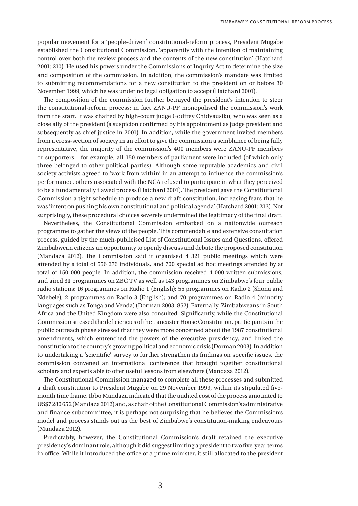popular movement for a 'people-driven' constitutional-reform process, President Mugabe established the Constitutional Commission, 'apparently with the intention of maintaining control over both the review process and the contents of the new constitution' (Hatchard 2001: 210). He used his powers under the Commissions of Inquiry Act to determine the size and composition of the commission. In addition, the commission's mandate was limited to submitting recommendations for a new constitution to the president on or before 30 November 1999, which he was under no legal obligation to accept (Hatchard 2001).

The composition of the commission further betrayed the president's intention to steer the constitutional-reform process; in fact ZANU-PF monopolised the commission's work from the start. It was chaired by high-court judge Godfrey Chidyausiku, who was seen as a close ally of the president (a suspicion confirmed by his appointment as judge president and subsequently as chief justice in 2001). In addition, while the government invited members from a cross-section of society in an effort to give the commission a semblance of being fully representative, the majority of the commission's 400 members were ZANU-PF members or supporters – for example, all 150 members of parliament were included (of which only three belonged to other political parties). Although some reputable academics and civil society activists agreed to 'work from within' in an attempt to influence the commission's performance, others associated with the NCA refused to participate in what they perceived to be a fundamentally flawed process (Hatchard 2001). The president gave the Constitutional Commission a tight schedule to produce a new draft constitution, increasing fears that he was 'intent on pushing his own constitutional and political agenda' (Hatchard 2001: 213). Not surprisingly, these procedural choices severely undermined the legitimacy of the final draft.

Nevertheless, the Constitutional Commission embarked on a nationwide outreach programme to gather the views of the people. This commendable and extensive consultation process, guided by the much-publicised List of Constitutional Issues and Questions, offered Zimbabwean citizens an opportunity to openly discuss and debate the proposed constitution (Mandaza 2012). The Commission said it organised 4 321 public meetings which were attended by a total of 556 276 individuals, and 700 special ad hoc meetings attended by at total of 150 000 people. In addition, the commission received 4 000 written submissions, and aired 31 programmes on ZBC TV as well as 143 programmes on Zimbabwe's four public radio stations: 16 programmes on Radio 1 (English); 55 programmes on Radio 2 (Shona and Ndebele); 2 programmes on Radio 3 (English); and 70 programmes on Radio 4 (minority languages such as Tonga and Venda) (Dorman 2003: 852). Externally, Zimbabweans in South Africa and the United Kingdom were also consulted. Significantly, while the Constitutional Commission stressed the deficiencies of the Lancaster House Constitution, participants in the public outreach phase stressed that they were more concerned about the 1987 constitutional amendments, which entrenched the powers of the executive presidency, and linked the constitution to the country's growing political and economic crisis (Dorman 2003). In addition to undertaking a 'scientific' survey to further strengthen its findings on specific issues, the commission convened an international conference that brought together constitutional scholars and experts able to offer useful lessons from elsewhere (Mandaza 2012).

The Constitutional Commission managed to complete all these processes and submitted a draft constitution to President Mugabe on 29 November 1999, within its stipulated fivemonth time frame. Ibbo Mandaza indicated that the audited cost of the process amounted to US\$7 280 652 (Mandaza 2012) and, as chair of the Constitutional Commission's administrative and finance subcommittee, it is perhaps not surprising that he believes the Commission's model and process stands out as the best of Zimbabwe's constitution-making endeavours (Mandaza 2012).

Predictably, however, the Constitutional Commission's draft retained the executive presidency's dominant role, although it did suggest limiting a president to two five-year terms in office. While it introduced the office of a prime minister, it still allocated to the president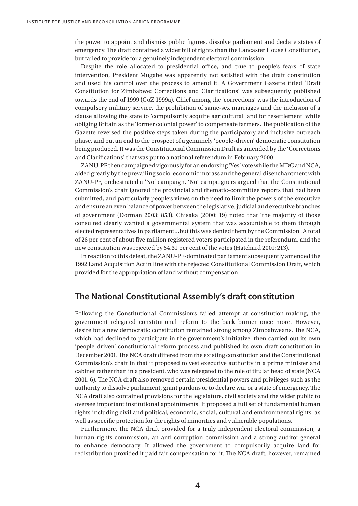the power to appoint and dismiss public figures, dissolve parliament and declare states of emergency. The draft contained a wider bill of rights than the Lancaster House Constitution, but failed to provide for a genuinely independent electoral commission.

Despite the role allocated to presidential office, and true to people's fears of state intervention, President Mugabe was apparently not satisfied with the draft constitution and used his control over the process to amend it. A Government Gazette titled 'Draft Constitution for Zimbabwe: Corrections and Clarifications' was subsequently published towards the end of 1999 (GoZ 1999a). Chief among the 'corrections' was the introduction of compulsory military service, the prohibition of same-sex marriages and the inclusion of a clause allowing the state to 'compulsorily acquire agricultural land for resettlement' while obliging Britain as the 'former colonial power' to compensate farmers. The publication of the Gazette reversed the positive steps taken during the participatory and inclusive outreach phase, and put an end to the prospect of a genuinely 'people-driven' democratic constitution being produced. It was the Constitutional Commission Draft as amended by the 'Corrections and Clarifications' that was put to a national referendum in February 2000.

ZANU-PF then campaigned vigorously for an endorsing 'Yes' vote while the MDC and NCA, aided greatly by the prevailing socio-economic morass and the general disenchantment with ZANU-PF, orchestrated a 'No' campaign. 'No' campaigners argued that the Constitutional Commission's draft ignored the provincial and thematic-committee reports that had been submitted, and particularly people's views on the need to limit the powers of the executive and ensure an even balance of power between the legislative, judicial and executive branches of government (Dorman 2003: 853). Chisaka (2000: 19) noted that 'the majority of those consulted clearly wanted a governmental system that was accountable to them through elected representatives in parliament…but this was denied them by the Commission'. A total of 26 per cent of about five million registered voters participated in the referendum, and the new constitution was rejected by 54.31 per cent of the votes (Hatchard 2001: 213).

In reaction to this defeat, the ZANU-PF-dominated parliament subsequently amended the 1992 Land Acquisition Act in line with the rejected Constitutional Commission Draft, which provided for the appropriation of land without compensation.

### **The National Constitutional Assembly's draft constitution**

Following the Constitutional Commission's failed attempt at constitution-making, the government relegated constitutional reform to the back burner once more. However, desire for a new democratic constitution remained strong among Zimbabweans. The NCA, which had declined to participate in the government's initiative, then carried out its own 'people-driven' constitutional-reform process and published its own draft constitution in December 2001. The NCA draft differed from the existing constitution and the Constitutional Commission's draft in that it proposed to vest executive authority in a prime minister and cabinet rather than in a president, who was relegated to the role of titular head of state (NCA 2001: 6). The NCA draft also removed certain presidential powers and privileges such as the authority to dissolve parliament, grant pardons or to declare war or a state of emergency. The NCA draft also contained provisions for the legislature, civil society and the wider public to oversee important institutional appointments. It proposed a full set of fundamental human rights including civil and political, economic, social, cultural and environmental rights, as well as specific protection for the rights of minorities and vulnerable populations.

Furthermore, the NCA draft provided for a truly independent electoral commission, a human-rights commission, an anti-corruption commission and a strong auditor-general to enhance democracy. It allowed the government to compulsorily acquire land for redistribution provided it paid fair compensation for it. The NCA draft, however, remained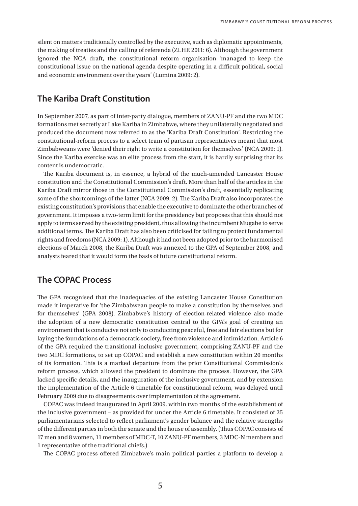silent on matters traditionally controlled by the executive, such as diplomatic appointments, the making of treaties and the calling of referenda (ZLHR 2011: 6). Although the government ignored the NCA draft, the constitutional reform organisation 'managed to keep the constitutional issue on the national agenda despite operating in a difficult political, social and economic environment over the years' (Lumina 2009: 2).

## **The Kariba Draft Constitution**

In September 2007, as part of inter-party dialogue, members of ZANU-PF and the two MDC formations met secretly at Lake Kariba in Zimbabwe, where they unilaterally negotiated and produced the document now referred to as the 'Kariba Draft Constitution'. Restricting the constitutional-reform process to a select team of partisan representatives meant that most Zimbabweans were 'denied their right to write a constitution for themselves' (NCA 2009: 1). Since the Kariba exercise was an elite process from the start, it is hardly surprising that its content is undemocratic.

The Kariba document is, in essence, a hybrid of the much-amended Lancaster House constitution and the Constitutional Commission's draft. More than half of the articles in the Kariba Draft mirror those in the Constitutional Commission's draft, essentially replicating some of the shortcomings of the latter (NCA 2009: 2). The Kariba Draft also incorporates the existing constitution's provisions that enable the executive to dominate the other branches of government. It imposes a two-term limit for the presidency but proposes that this should not apply to terms served by the existing president, thus allowing the incumbent Mugabe to serve additional terms. The Kariba Draft has also been criticised for failing to protect fundamental rights and freedoms (NCA 2009: 1). Although it had not been adopted prior to the harmonised elections of March 2008, the Kariba Draft was annexed to the GPA of September 2008, and analysts feared that it would form the basis of future constitutional reform.

# **The COPAC Process**

The GPA recognised that the inadequacies of the existing Lancaster House Constitution made it imperative for 'the Zimbabwean people to make a constitution by themselves and for themselves' (GPA 2008). Zimbabwe's history of election-related violence also made the adoption of a new democratic constitution central to the GPA's goal of creating an environment that is conducive not only to conducting peaceful, free and fair elections but for laying the foundations of a democratic society, free from violence and intimidation. Article 6 of the GPA required the transitional inclusive government, comprising ZANU-PF and the two MDC formations, to set up COPAC and establish a new constitution within 20 months of its formation. This is a marked departure from the prior Constitutional Commission's reform process, which allowed the president to dominate the process. However, the GPA lacked specific details, and the inauguration of the inclusive government, and by extension the implementation of the Article 6 timetable for constitutional reform, was delayed until February 2009 due to disagreements over implementation of the agreement.

COPAC was indeed inaugurated in April 2009, within two months of the establishment of the inclusive government – as provided for under the Article 6 timetable. It consisted of 25 parliamentarians selected to reflect parliament's gender balance and the relative strengths of the different parties in both the senate and the house of assembly. (Thus COPAC consists of 17 men and 8 women, 11 members of MDC-T, 10 ZANU-PF members, 3 MDC-N members and 1 representative of the traditional chiefs.)

The COPAC process offered Zimbabwe's main political parties a platform to develop a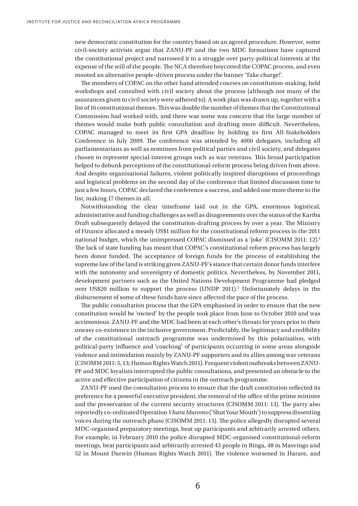new democratic constitution for the country based on an agreed procedure. However, some civil-society activists argue that ZANU-PF and the two MDC formations have captured the constitutional project and narrowed it to a struggle over party-political interests at the expense of the will of the people. The NCA therefore boycotted the COPAC process, and even mooted an alternative people-driven process under the banner 'Take charge!'.

The members of COPAC on the other hand attended courses on constitution-making, held workshops and consulted with civil society about the process (although not many of the assurances given to civil society were adhered to). A work plan was drawn up, together with a list of 16 constitutional themes. This was double the number of themes that the Constitutional Commission had worked with, and there was some was concern that the large number of themes would make both public consultation and drafting more difficult. Nevertheless, COPAC managed to meet its first GPA deadline by holding its first All-Stakeholders Conference in July 2009. The conference was attended by 4000 delegates, including all parliamentarians as well as nominees from political parties and civil society, and delegates chosen to represent special-interest groups such as war veterans. This broad participation helped to debunk perceptions of the constitutional-reform process being driven from above. And despite organisational failures, violent politically inspired disruptions of proceedings and logistical problems on the second day of the conference that limited discussion time to just a few hours, COPAC declared the conference a success, and added one more theme to the list, making 17 themes in all.

Notwithstanding the clear timeframe laid out in the GPA, enormous logistical, administrative and funding challenges as well as disagreements over the status of the Kariba Draft subsequently delayed the constitution-drafting process by over a year. The Ministry of Finance allocated a measly US\$1 million for the constitutional reform process in the 2011 national budget, which the unimpressed COPAC dismissed as a 'joke' (CISOMM 2011: 12).4 The lack of state funding has meant that COPAC's constitutional reform process has largely been donor funded. The acceptance of foreign funds for the process of establishing the supreme law of the land is striking given ZANU-PF's stance that certain donor funds interfere with the autonomy and sovereignty of domestic politics. Nevertheless, by November 2011, development partners such as the United Nations Development Programme had pledged over US\$20 million to support the process (UNDP 2011).<sup>5</sup> Unfortunately delays in the disbursement of some of these funds have since affected the pace of the process.

The public consultation process that the GPA emphasised in order to ensure that the new constitution would be 'owned' by the people took place from June to October 2010 and was acrimonious. ZANU-PF and the MDC had been at each other's throats for years prior to their uneasy co-existence in the inclusive government. Predictably, the legitimacy and credibility of the constitutional outreach programme was undermined by this polarisation, with political-party influence and 'coaching' of participants occurring in some areas alongside violence and intimidation mainly by ZANU-PF supporters and its allies among war veterans (CISOMM 2011: 5, 13; Human Rights Watch 2011). Frequent violent outbreaks between ZANU-PF and MDC loyalists interrupted the public consultations, and presented an obstacle to the active and effective participation of citizens in the outreach programme.

ZANU-PF used the consultation process to ensure that the draft constitution reflected its preference for a powerful executive president, the removal of the office of the prime minister and the preservation of the current security structures (CISOMM 2011: 13). The party also reportedly co-ordinated Operation *Vhara Muromo* ('Shut Your Mouth') to suppress dissenting voices during the outreach phase (CISOMM 2011: 13). The police allegedly disrupted several MDC-organised preparatory meetings, beat up participants and arbitrarily arrested others. For example, in February 2010 the police disrupted MDC-organised constitutional-reform meetings, beat participants and arbitrarily arrested 43 people in Binga, 48 in Masvingo and 52 in Mount Darwin (Human Rights Watch 2011). The violence worsened in Harare, and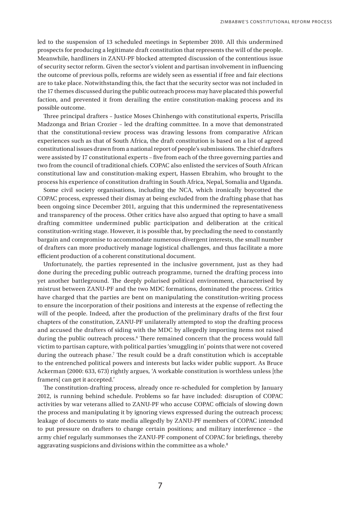led to the suspension of 13 scheduled meetings in September 2010. All this undermined prospects for producing a legitimate draft constitution that represents the will of the people. Meanwhile, hardliners in ZANU-PF blocked attempted discussion of the contentious issue of security sector reform. Given the sector's violent and partisan involvement in influencing the outcome of previous polls, reforms are widely seen as essential if free and fair elections are to take place. Notwithstanding this, the fact that the security sector was not included in the 17 themes discussed during the public outreach process may have placated this powerful faction, and prevented it from derailing the entire constitution-making process and its possible outcome.

Three principal drafters – Justice Moses Chinhengo with constitutional experts, Priscilla Madzonga and Brian Crozier – led the drafting committee. In a move that demonstrated that the constitutional-review process was drawing lessons from comparative African experiences such as that of South Africa, the draft constitution is based on a list of agreed constitutional issues drawn from a national report of people's submissions. The chief drafters were assisted by 17 constitutional experts – five from each of the three governing parties and two from the council of traditional chiefs. COPAC also enlisted the services of South African constitutional law and constitution-making expert, Hassen Ebrahim, who brought to the process his experience of constitution drafting in South Africa, Nepal, Somalia and Uganda.

Some civil society organisations, including the NCA, which ironically boycotted the COPAC process, expressed their dismay at being excluded from the drafting phase that has been ongoing since December 2011, arguing that this undermined the representativeness and transparency of the process. Other critics have also argued that opting to have a small drafting committee undermined public participation and deliberation at the critical constitution-writing stage. However, it is possible that, by precluding the need to constantly bargain and compromise to accommodate numerous divergent interests, the small number of drafters can more productively manage logistical challenges, and thus facilitate a more efficient production of a coherent constitutional document.

Unfortunately, the parties represented in the inclusive government, just as they had done during the preceding public outreach programme, turned the drafting process into yet another battleground. The deeply polarised political environment, characterised by mistrust between ZANU-PF and the two MDC formations, dominated the process. Critics have charged that the parties are bent on manipulating the constitution-writing process to ensure the incorporation of their positions and interests at the expense of reflecting the will of the people. Indeed, after the production of the preliminary drafts of the first four chapters of the constitution, ZANU-PF unilaterally attempted to stop the drafting process and accused the drafters of siding with the MDC by allegedly importing items not raised during the public outreach process.<sup>6</sup> There remained concern that the process would fall victim to partisan capture, with political parties 'smuggling in' points that were not covered during the outreach phase.<sup>7</sup> The result could be a draft constitution which is acceptable to the entrenched political powers and interests but lacks wider public support. As Bruce Ackerman (2000: 633, 673) rightly argues, 'A workable constitution is worthless unless [the framers] can get it accepted.'

The constitution-drafting process, already once re-scheduled for completion by January 2012, is running behind schedule. Problems so far have included: disruption of COPAC activities by war veterans allied to ZANU-PF who accuse COPAC officials of slowing down the process and manipulating it by ignoring views expressed during the outreach process; leakage of documents to state media allegedly by ZANU-PF members of COPAC intended to put pressure on drafters to change certain positions; and military interference – the army chief regularly summonses the ZANU-PF component of COPAC for briefings, thereby aggravating suspicions and divisions within the committee as a whole.<sup>8</sup>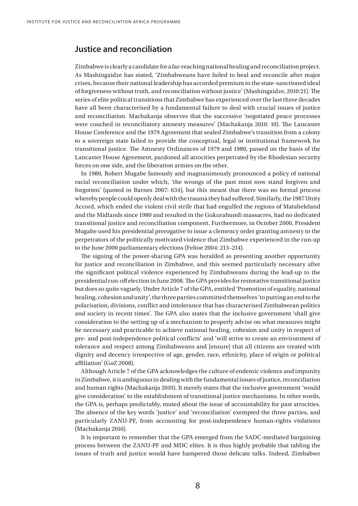### **Justice and reconciliation**

Zimbabwe is clearly a candidate for a far-reaching national healing and reconciliation project. As Mashingaidze has stated, 'Zimbabweans have failed to heal and reconcile after major crises, because their national leadership has accorded premium to the state-sanctioned ideal of forgiveness without truth, and reconciliation without justice' (Mashingaidze, 2010:21). The series of elite political transitions that Zimbabwe has experienced over the last three decades have all been characterised by a fundamental failure to deal with crucial issues of justice and reconciliation. Machakanja observes that the successive 'negotiated peace processes were couched in reconciliatory amnesty measures' (Machakanja 2010: 10). The Lancaster House Conference and the 1979 Agreement that sealed Zimbabwe's transition from a colony to a sovereign state failed to provide the conceptual, legal or institutional framework for transitional justice. The Amnesty Ordinances of 1979 and 1980, passed on the basis of the Lancaster House Agreement, pardoned all atrocities perpetrated by the Rhodesian security forces on one side, and the liberation armies on the other.

In 1980, Robert Mugabe famously and magnanimously pronounced a policy of national racial reconciliation under which, 'the wrongs of the past must now stand forgiven and forgotten' (quoted in Barnes 2007: 634), but this meant that there was no formal process whereby people could openly deal with the trauma they had suffered. Similarly, the 1987 Unity Accord, which ended the violent civil strife that had engulfed the regions of Matabeleland and the Midlands since 1980 and resulted in the Gukurahundi massacres, had no dedicated transitional justice and reconciliation component. Furthermore, in October 2000, President Mugabe used his presidential prerogative to issue a clemency order granting amnesty to the perpetrators of the politically motivated violence that Zimbabwe experienced in the run-up to the June 2000 parliamentary elections (Feltoe 2004: 213–214).

The signing of the power-sharing GPA was heralded as presenting another opportunity for justice and reconciliation in Zimbabwe, and this seemed particularly necessary after the significant political violence experienced by Zimbabweans during the lead-up to the presidential run-off election in June 2008. The GPA provides for restorative transitional justice but does so quite vaguely. Under Article 7 of the GPA, entitled 'Promotion of equality, national healing, cohesion and unity', the three parties committed themselves 'to putting an end to the polarisation, divisions, conflict and intolerance that has characterised Zimbabwean politics and society in recent times'. The GPA also states that the inclusive government 'shall give consideration to the setting up of a mechanism to properly advise on what measures might be necessary and practicable to achieve national healing, cohesion and unity in respect of pre- and post-independence political conflicts' and 'will strive to create an environment of tolerance and respect among Zimbabweans and [ensure] that all citizens are treated with dignity and decency irrespective of age, gender, race, ethnicity, place of origin or political affiliation' (GoZ 2008).

Although Article 7 of the GPA acknowledges the culture of endemic violence and impunity in Zimbabwe, it is ambiguous in dealing with the fundamental issues of justice, reconciliation and human rights (Machakanja 2010). It merely states that the inclusive government 'would give consideration' to the establishment of transitional justice mechanisms. In other words, the GPA is, perhaps predictably, muted about the issue of accountability for past atrocities. The absence of the key words 'justice' and 'reconciliation' exempted the three parties, and particularly ZANU-PF, from accounting for post-independence human-rights violations (Machakanja 2010).

It is important to remember that the GPA emerged from the SADC-mediated bargaining process between the ZANU-PF and MDC elites. It is thus highly probable that tabling the issues of truth and justice would have hampered those delicate talks. Indeed, Zimbabwe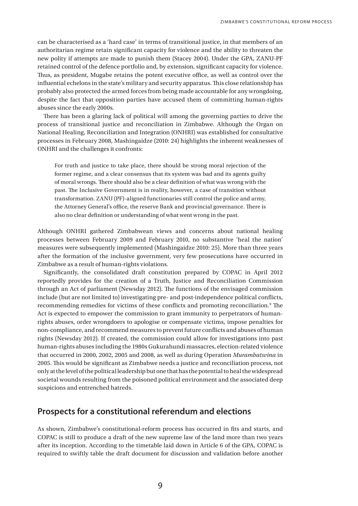can be characterised as a 'hard case' in terms of transitional justice, in that members of an authoritarian regime retain significant capacity for violence and the ability to threaten the new polity if attempts are made to punish them (Stacey 2004). Under the GPA, ZANU-PF retained control of the defence portfolio and, by extension, significant capacity for violence. Thus, as president, Mugabe retains the potent executive office, as well as control over the influential echelons in the state's military and security apparatus. This close relationship has probably also protected the armed forces from being made accountable for any wrongdoing, despite the fact that opposition parties have accused them of committing human-rights abuses since the early 2000s.

There has been a glaring lack of political will among the governing parties to drive the process of transitional justice and reconciliation in Zimbabwe. Although the Organ on National Healing, Reconciliation and Integration (ONHRI) was established for consultative processes in February 2008, Mashingaidze (2010: 24) highlights the inherent weaknesses of ONHRI and the challenges it confronts:

For truth and justice to take place, there should be strong moral rejection of the former regime, and a clear consensus that its system was bad and its agents guilty of moral wrongs. There should also be a clear definition of what was wrong with the past. The Inclusive Government is in reality, however, a case of transition without transformation. ZANU (PF)-aligned functionaries still control the police and army, the Attorney General's office, the reserve Bank and provincial governance. There is also no clear definition or understanding of what went wrong in the past.

Although ONHRI gathered Zimbabwean views and concerns about national healing processes between February 2009 and February 2010, no substantive 'heal the nation' measures were subsequently implemented (Mashingaidze 2010: 25). More than three years after the formation of the inclusive government, very few prosecutions have occurred in Zimbabwe as a result of human-rights violations.

Significantly, the consolidated draft constitution prepared by COPAC in April 2012 reportedly provides for the creation of a Truth, Justice and Reconciliation Commission through an Act of parliament (Newsday 2012). The functions of the envisaged commission include (but are not limited to) investigating pre- and post-independence political conflicts, recommending remedies for victims of these conflicts and promoting reconciliation.<sup>9</sup> The Act is expected to empower the commission to grant immunity to perpetrators of humanrights abuses, order wrongdoers to apologise or compensate victims, impose penalties for non-compliance, and recommend measures to prevent future conflicts and abuses of human rights (Newsday 2012). If created, the commission could allow for investigations into past human-rights abuses including the 1980s Gukurahundi massacres, election-related violence that occurred in 2000, 2002, 2005 and 2008, as well as during Operation *Murambatsvina* in 2005. This would be significant as Zimbabwe needs a justice and reconciliation process, not only at the level of the political leadership but one that has the potential to heal the widespread societal wounds resulting from the poisoned political environment and the associated deep suspicions and entrenched hatreds.

## **Prospects for a constitutional referendum and elections**

As shown, Zimbabwe's constitutional-reform process has occurred in fits and starts, and COPAC is still to produce a draft of the new supreme law of the land more than two years after its inception. According to the timetable laid down in Article 6 of the GPA, COPAC is required to swiftly table the draft document for discussion and validation before another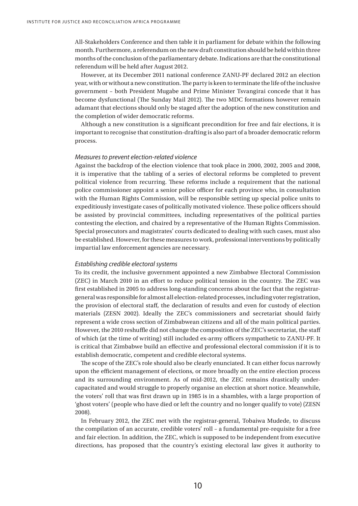All-Stakeholders Conference and then table it in parliament for debate within the following month. Furthermore, a referendum on the new draft constitution should be held within three months of the conclusion of the parliamentary debate. Indications are that the constitutional referendum will be held after August 2012.

However, at its December 2011 national conference ZANU-PF declared 2012 an election year, with or without a new constitution. The party is keen to terminate the life of the inclusive government – both President Mugabe and Prime Minister Tsvangirai concede that it has become dysfunctional (The Sunday Mail 2012). The two MDC formations however remain adamant that elections should only be staged after the adoption of the new constitution and the completion of wider democratic reforms.

Although a new constitution is a significant precondition for free and fair elections, it is important to recognise that constitution-drafting is also part of a broader democratic reform process.

#### *Measures to prevent election-related violence*

Against the backdrop of the election violence that took place in 2000, 2002, 2005 and 2008, it is imperative that the tabling of a series of electoral reforms be completed to prevent political violence from recurring. These reforms include a requirement that the national police commissioner appoint a senior police officer for each province who, in consultation with the Human Rights Commission, will be responsible setting up special police units to expeditiously investigate cases of politically motivated violence. These police officers should be assisted by provincial committees, including representatives of the political parties contesting the election, and chaired by a representative of the Human Rights Commission. Special prosecutors and magistrates' courts dedicated to dealing with such cases, must also be established. However, for these measures to work, professional interventions by politically impartial law enforcement agencies are necessary.

#### *Establishing credible electoral systems*

To its credit, the inclusive government appointed a new Zimbabwe Electoral Commission (ZEC) in March 2010 in an effort to reduce political tension in the country. The ZEC was first established in 2005 to address long-standing concerns about the fact that the registrargeneral was responsible for almost all election-related processes, including voter registration, the provision of electoral staff, the declaration of results and even for custody of election materials (ZESN 2002). Ideally the ZEC's commissioners and secretariat should fairly represent a wide cross section of Zimbabwean citizens and all of the main political parties. However, the 2010 reshuffle did not change the composition of the ZEC's secretariat, the staff of which (at the time of writing) still included ex-army officers sympathetic to ZANU-PF. It is critical that Zimbabwe build an effective and professional electoral commission if it is to establish democratic, competent and credible electoral systems.

The scope of the ZEC's role should also be clearly enunciated. It can either focus narrowly upon the efficient management of elections, or more broadly on the entire election process and its surrounding environment. As of mid-2012, the ZEC remains drastically undercapacitated and would struggle to properly organise an election at short notice. Meanwhile, the voters' roll that was first drawn up in 1985 is in a shambles, with a large proportion of 'ghost voters' (people who have died or left the country and no longer qualify to vote) (ZESN 2008).

In February 2012, the ZEC met with the registrar-general, Tobaiwa Mudede, to discuss the compilation of an accurate, credible voters' roll – a fundamental pre-requisite for a free and fair election. In addition, the ZEC, which is supposed to be independent from executive directions, has proposed that the country's existing electoral law gives it authority to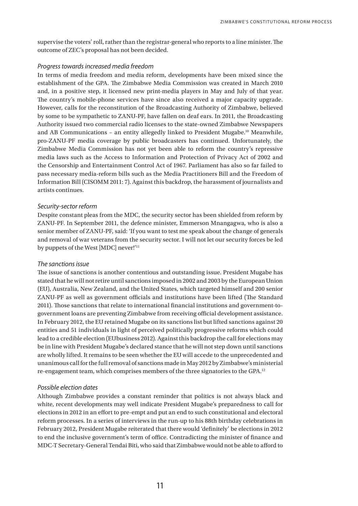supervise the voters' roll, rather than the registrar-general who reports to a line minister. The outcome of ZEC's proposal has not been decided.

#### *Progress towards increased media freedom*

In terms of media freedom and media reform, developments have been mixed since the establishment of the GPA. The Zimbabwe Media Commission was created in March 2010 and, in a positive step, it licensed new print-media players in May and July of that year. The country's mobile-phone services have since also received a major capacity upgrade. However, calls for the reconstitution of the Broadcasting Authority of Zimbabwe, believed by some to be sympathetic to ZANU-PF, have fallen on deaf ears. In 2011, the Broadcasting Authority issued two commercial radio licenses to the state-owned Zimbabwe Newspapers and AB Communications – an entity allegedly linked to President Mugabe.10 Meanwhile, pro-ZANU-PF media coverage by public broadcasters has continued. Unfortunately, the Zimbabwe Media Commission has not yet been able to reform the country's repressive media laws such as the Access to Information and Protection of Privacy Act of 2002 and the Censorship and Entertainment Control Act of 1967. Parliament has also so far failed to pass necessary media-reform bills such as the Media Practitioners Bill and the Freedom of Information Bill (CISOMM 2011: 7). Against this backdrop, the harassment of journalists and artists continues.

#### *Security-sector reform*

Despite constant pleas from the MDC, the security sector has been shielded from reform by ZANU-PF. In September 2011, the defence minister, Emmerson Mnangagwa, who is also a senior member of ZANU-PF, said: 'If you want to test me speak about the change of generals and removal of war veterans from the security sector. I will not let our security forces be led by puppets of the West [MDC] never!'11

#### *The sanctions issue*

The issue of sanctions is another contentious and outstanding issue. President Mugabe has stated that he will not retire until sanctions imposed in 2002 and 2003 by the European Union (EU), Australia, New Zealand, and the United States, which targeted himself and 200 senior ZANU-PF as well as government officials and institutions have been lifted (The Standard 2011). Those sanctions that relate to international financial institutions and government-togovernment loans are preventing Zimbabwe from receiving official development assistance. In February 2012, the EU retained Mugabe on its sanctions list but lifted sanctions against 20 entities and 51 individuals in light of perceived politically progressive reforms which could lead to a credible election (EUbusiness 2012). Against this backdrop the call for elections may be in line with President Mugabe's declared stance that he will not step down until sanctions are wholly lifted. It remains to be seen whether the EU will accede to the unprecedented and unanimous call for the full removal of sanctions made in May 2012 by Zimbabwe's ministerial re-engagement team, which comprises members of the three signatories to the GPA.12

#### *Possible election dates*

Although Zimbabwe provides a constant reminder that politics is not always black and white, recent developments may well indicate President Mugabe's preparedness to call for elections in 2012 in an effort to pre-empt and put an end to such constitutional and electoral reform processes. In a series of interviews in the run-up to his 88th birthday celebrations in February 2012, President Mugabe reiterated that there would 'definitely' be elections in 2012 to end the inclusive government's term of office. Contradicting the minister of finance and MDC-T Secretary-General Tendai Biti, who said that Zimbabwe would not be able to afford to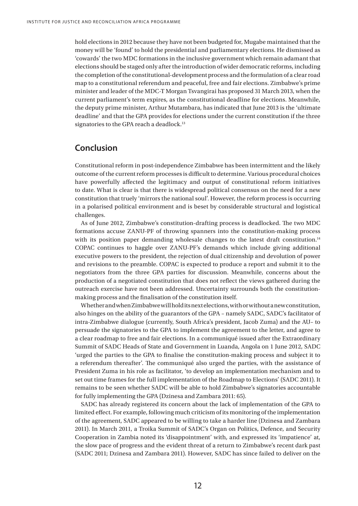hold elections in 2012 because they have not been budgeted for, Mugabe maintained that the money will be 'found' to hold the presidential and parliamentary elections. He dismissed as 'cowards' the two MDC formations in the inclusive government which remain adamant that elections should be staged only after the introduction of wider democratic reforms, including the completion of the constitutional-development process and the formulation of a clear road map to a constitutional referendum and peaceful, free and fair elections. Zimbabwe's prime minister and leader of the MDC-T Morgan Tsvangirai has proposed 31 March 2013, when the current parliament's term expires, as the constitutional deadline for elections. Meanwhile, the deputy prime minister, Arthur Mutambara, has indicated that June 2013 is the 'ultimate deadline' and that the GPA provides for elections under the current constitution if the three signatories to the GPA reach a deadlock.<sup>13</sup>

# **Conclusion**

Constitutional reform in post-independence Zimbabwe has been intermittent and the likely outcome of the current reform processes is difficult to determine. Various procedural choices have powerfully affected the legitimacy and output of constitutional reform initiatives to date. What is clear is that there is widespread political consensus on the need for a new constitution that truely 'mirrors the national soul'. However, the reform process is occurring in a polarised political environment and is beset by considerable structural and logistical challenges.

As of June 2012, Zimbabwe's constitution-drafting process is deadlocked. The two MDC formations accuse ZANU-PF of throwing spanners into the constitution-making process with its position paper demanding wholesale changes to the latest draft constitution.<sup>14</sup> COPAC continues to haggle over ZANU-PF's demands which include giving additional executive powers to the president, the rejection of dual citizenship and devolution of power and revisions to the preamble. COPAC is expected to produce a report and submit it to the negotiators from the three GPA parties for discussion. Meanwhile, concerns about the production of a negotiated constitution that does not reflect the views gathered during the outreach exercise have not been addressed. Uncertainty surrounds both the constitutionmaking process and the finalisation of the constitution itself.

Whether and when Zimbabwe will hold its next elections, with or without a new constitution, also hinges on the ability of the guarantors of the GPA – namely SADC, SADC's facilitator of intra-Zimbabwe dialogue (currently, South Africa's president, Jacob Zuma) and the AU– to persuade the signatories to the GPA to implement the agreement to the letter, and agree to a clear roadmap to free and fair elections. In a communiqué issued after the Extraordinary Summit of SADC Heads of State and Government in Luanda, Angola on 1 June 2012, SADC 'urged the parties to the GPA to finalise the constitution-making process and subject it to a referendum thereafter'. The communiqué also urged the parties, with the assistance of President Zuma in his role as facilitator, 'to develop an implementation mechanism and to set out time frames for the full implementation of the Roadmap to Elections' (SADC 2011). It remains to be seen whether SADC will be able to hold Zimbabwe's signatories accountable for fully implementing the GPA (Dzinesa and Zambara 2011: 65).

SADC has already registered its concern about the lack of implementation of the GPA to limited effect. For example, following much criticism of its monitoring of the implementation of the agreement, SADC appeared to be willing to take a harder line (Dzinesa and Zambara 2011). In March 2011, a Troika Summit of SADC's Organ on Politics, Defence, and Security Cooperation in Zambia noted its 'disappointment' with, and expressed its 'impatience' at, the slow pace of progress and the evident threat of a return to Zimbabwe's recent dark past (SADC 2011; Dzinesa and Zambara 2011). However, SADC has since failed to deliver on the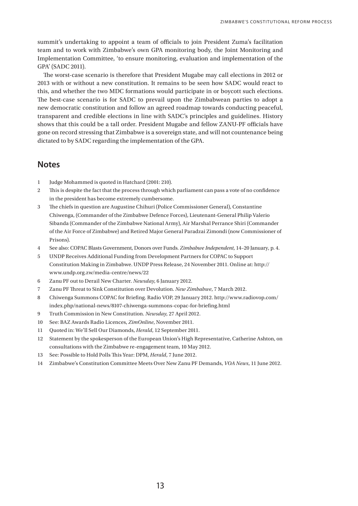summit's undertaking to appoint a team of officials to join President Zuma's facilitation team and to work with Zimbabwe's own GPA monitoring body, the Joint Monitoring and Implementation Committee, 'to ensure monitoring, evaluation and implementation of the GPA' (SADC 2011).

The worst-case scenario is therefore that President Mugabe may call elections in 2012 or 2013 with or without a new constitution. It remains to be seen how SADC would react to this, and whether the two MDC formations would participate in or boycott such elections. The best-case scenario is for SADC to prevail upon the Zimbabwean parties to adopt a new democratic constitution and follow an agreed roadmap towards conducting peaceful, transparent and credible elections in line with SADC's principles and guidelines. History shows that this could be a tall order. President Mugabe and fellow ZANU-PF officials have gone on record stressing that Zimbabwe is a sovereign state, and will not countenance being dictated to by SADC regarding the implementation of the GPA.

### **Notes**

- 1 Judge Mohammed is quoted in Hatchard (2001: 210).
- 2 This is despite the fact that the process through which parliament can pass a vote of no confidence in the president has become extremely cumbersome.
- 3 The chiefs in question are Augustine Chihuri (Police Commissioner General), Constantine Chiwenga, (Commander of the Zimbabwe Defence Forces), Lieutenant-General Philip Valerio Sibanda (Commander of the Zimbabwe National Army), Air Marshal Perrance Shiri (Commander of the Air Force of Zimbabwe) and Retired Major General Paradzai Zimondi (now Commissioner of Prisons).
- 4 See also: COPAC Blasts Government, Donors over Funds. *Zimbabwe Independent*, 14–20 January, p. 4.
- 5 UNDP Receives Additional Funding from Development Partners for COPAC to Support Constitution Making in Zimbabwe. UNDP Press Release, 24 November 2011. Online at: http:// www.undp.org.zw/media-centre/news/22
- 6 Zanu PF out to Derail New Charter. *Newsday*, 6 January 2012.
- 7 Zanu PF Threat to Sink Constitution over Devolution. *New Zimbabwe*, 7 March 2012.
- 8 Chiwenga Summons Copac for Briefing. Radio VOP, 29 January 2012. http://www.radiovop.com/ index.php/national-news/8107-chiwenga-summons-copac-for-briefing.html
- 9 Truth Commission in New Constitution. *Newsday*, 27 April 2012.
- 10 See: BAZ Awards Radio Licences, *ZimOnline*, November 2011.
- 11 Quoted in: We'll Sell Our Diamonds, *Herald*, 12 September 2011.
- 12 Statement by the spokesperson of the European Union's High Representative, Catherine Ashton, on consultations with the Zimbabwe re-engagement team, 10 May 2012.
- 13 See: Possible to Hold Polls This Year: DPM, *Herald*, 7 June 2012.
- 14 Zimbabwe's Constitution Committee Meets Over New Zanu PF Demands, *VOA News*, 11 June 2012.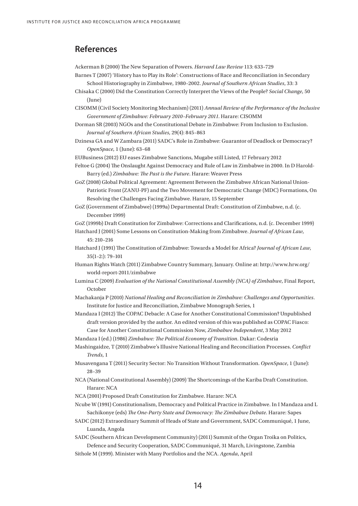### **References**

Ackerman B (2000) The New Separation of Powers. *Harvard Law Review* 113: 633–729

- Barnes T (2007) 'History has to Play its Role': Constructions of Race and Reconciliation in Secondary School Historiography in Zimbabwe, 1980–2002. *Journal of Southern African Studies*, 33: 3
- Chisaka C (2000) Did the Constitution Correctly Interpret the Views of the People? *Social Change*, 50 (June)
- CISOMM (Civil Society Monitoring Mechanism) (2011) *Annual Review of the Performance of the Inclusive Government of Zimbabwe: February 2010–February 2011*. Harare: CISOMM
- Dorman SR (2003) NGOs and the Constitutional Debate in Zimbabwe: From Inclusion to Exclusion. *Journal of Southern African Studies*, 29(4): 845–863
- Dzinesa GA and W Zambara (2011) SADC's Role in Zimbabwe: Guarantor of Deadlock or Democracy? *OpenSpace*, 1 (June): 63–68
- EUBusiness (2012) EU eases Zimbabwe Sanctions, Mugabe still Listed, 17 February 2012
- Feltoe G (2004) The Onslaught Against Democracy and Rule of Law in Zimbabwe in 2000. In D Harold-Barry (ed.) *Zimbabwe: The Past is the Future*. Harare: Weaver Press
- GoZ (2008) Global Political Agreement: Agreement Between the Zimbabwe African National Union-Patriotic Front (ZANU-PF) and the Two Movement for Democratic Change (MDC) Formations, On Resolving the Challenges Facing Zimbabwe. Harare, 15 September
- GoZ (Government of Zimbabwe) (1999a) Departmental Draft: Constitution of Zimbabwe, n.d. (c. December 1999)
- GoZ (1999b) Draft Constitution for Zimbabwe: Corrections and Clarifications, n.d. (c. December 1999)
- Hatchard J (2001) Some Lessons on Constitution-Making from Zimbabwe. *Journal of African Law*, 45: 210–216
- Hatchard J (1991) The Constitution of Zimbabwe: Towards a Model for Africa? *Journal of African Law*, 35(1–2:): 79–101
- Human Rights Watch (2011) Zimbabwe Country Summary, January. Online at: http://www.hrw.org/ world-report-2011/zimbabwe
- Lumina C (2009) *Evaluation of the National Constitutional Assembly (NCA) of Zimbabwe*, Final Report, October
- Machakanja P (2010) *National Healing and Reconciliation in Zimbabwe: Challenges and Opportunities*. Institute for Justice and Reconciliation, Zimbabwe Monograph Series, 1
- Mandaza I (2012) The COPAC Debacle: A Case for Another Constitutional Commission? Unpublished draft version provided by the author. An edited version of this was published as COPAC Fiasco: Case for Another Constitutional Commission Now, *Zimbabwe Independent*, 3 May 2012
- Mandaza I (ed.) (1986) *Zimbabwe: The Political Economy of Transition*. Dakar: Codesria
- Mashingaidze, T (2010) Zimbabwe's Illusive National Healing and Reconciliation Processes. *Conflict Trends*, 1
- Musavengana T (2011) Security Sector: No Transition Without Transformation. *OpenSpace*, 1 (June): 28–39
- NCA (National Constitutional Assembly) (2009) The Shortcomings of the Kariba Draft Constitution. Harare: NCA
- NCA (2001) Proposed Draft Constitution for Zimbabwe. Harare: NCA
- Ncube W (1991) Constitutionalism, Democracy and Political Practice in Zimbabwe. In I Mandaza and L Sachikonye (eds) *The One-Party State and Democracy: The Zimbabwe Debate*. Harare: Sapes
- SADC (2012) Extraordinary Summit of Heads of State and Government, SADC Communiqué, 1 June, Luanda, Angola
- SADC (Southern African Development Community) (2011) Summit of the Organ Troika on Politics, Defence and Security Cooperation, SADC Communiqué, 31 March, Livingstone, Zambia
- Sithole M (1999). Minister with Many Portfolios and the NCA. *Agenda*, April